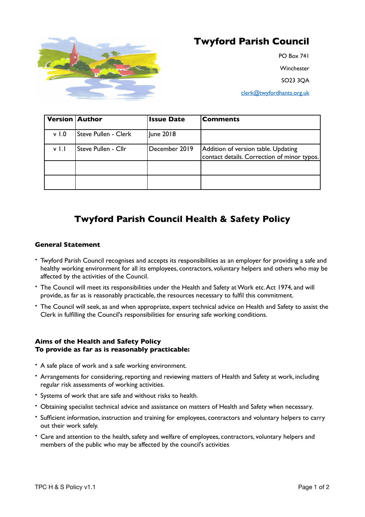

# **Twyford Parish Council**

PO Box 741 Winchester SO23 3QA [clerk@twyfordhants.org.uk](mailto:clerk@twyfordhants.org.uk)

| <b>Version Author</b> |                             | <b>Issue Date</b> | Comments                                                                           |
|-----------------------|-----------------------------|-------------------|------------------------------------------------------------------------------------|
| v <sub>1.0</sub>      | <b>Steve Pullen - Clerk</b> | June 2018         |                                                                                    |
| v L                   | Steve Pullen - Cllr         | December 2019     | Addition of version table. Updating<br>contact details. Correction of minor typos. |
|                       |                             |                   |                                                                                    |
|                       |                             |                   |                                                                                    |

## **Twyford Parish Council Health & Safety Policy**

### **General Statement**

- Twyford Parish Council recognises and accepts its responsibilities as an employer for providing a safe and healthy working environment for all its employees, contractors, voluntary helpers and others who may be affected by the activities of the Council.
- The Council will meet its responsibilities under the Health and Safety at Work etc. Act 1974, and will provide, as far as is reasonably practicable, the resources necessary to fulfil this commitment.
- The Council will seek, as and when appropriate, expert technical advice on Health and Safety to assist the Clerk in fulfilling the Council's responsibilities for ensuring safe working conditions.

#### **Aims of the Health and Safety Policy To provide as far as is reasonably practicable:**

- A safe place of work and a safe working environment.
- Arrangements for considering, reporting and reviewing matters of Health and Safety at work, including regular risk assessments of working activities.
- Systems of work that are safe and without risks to health.
- Obtaining specialist technical advice and assistance on matters of Health and Safety when necessary.
- Sufficient information, instruction and training for employees, contractors and voluntary helpers to carry out their work safely.
- Care and attention to the health, safety and welfare of employees, contractors, voluntary helpers and members of the public who may be affected by the council's activities